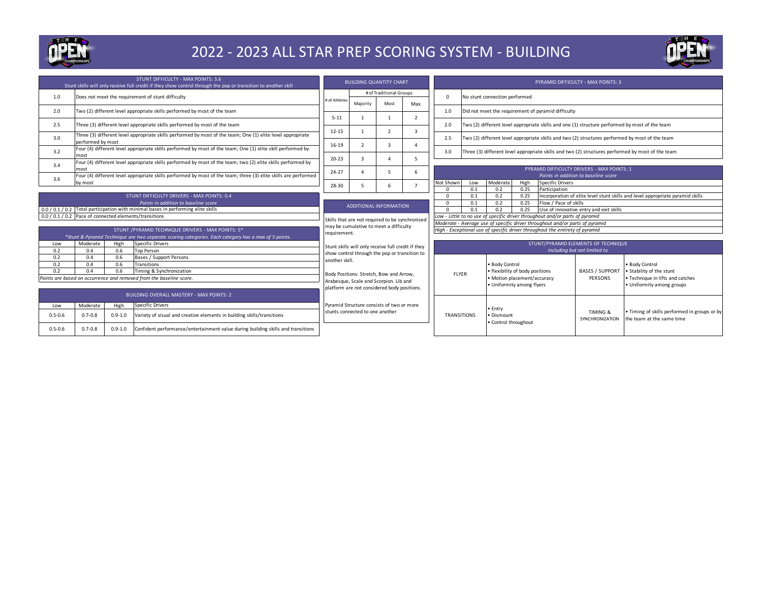

### 2022 - 2023 ALL STAR PREP SCORING SYSTEM - BUILDING



|                                                        | STUNT DIFFICULTY - MAX POINTS: 3.6<br>Stunt skills will only receive full credit if they show control through the pop or transition to another skill |             |                                                                                                                 | <b>BUILDING QUANTITY CHART</b>                                                                      |                                         |                          |                          |                                                                              |                                                                                                                               |                                 |              |                             | <b>PYRAMID DIFFICULTY - MAX POINTS: 3</b>                                                      |                                                                                                 |
|--------------------------------------------------------|------------------------------------------------------------------------------------------------------------------------------------------------------|-------------|-----------------------------------------------------------------------------------------------------------------|-----------------------------------------------------------------------------------------------------|-----------------------------------------|--------------------------|--------------------------|------------------------------------------------------------------------------|-------------------------------------------------------------------------------------------------------------------------------|---------------------------------|--------------|-----------------------------|------------------------------------------------------------------------------------------------|-------------------------------------------------------------------------------------------------|
| 1.0                                                    |                                                                                                                                                      |             | Does not meet the requirement of stunt difficulty                                                               |                                                                                                     | # of Traditional Groups                 |                          |                          | $\Omega$                                                                     | No stunt connection performed                                                                                                 |                                 |              |                             |                                                                                                |                                                                                                 |
|                                                        |                                                                                                                                                      |             |                                                                                                                 | # of Athletes                                                                                       | Maiority                                | Most                     | Max                      |                                                                              |                                                                                                                               |                                 |              |                             |                                                                                                |                                                                                                 |
| 2.0                                                    | Two (2) different level appropriate skills performed by most of the team                                                                             |             |                                                                                                                 | $5 - 11$                                                                                            |                                         |                          | $\overline{\phantom{0}}$ | 1.0                                                                          | Did not meet the requirement of pyramid difficulty                                                                            |                                 |              |                             |                                                                                                |                                                                                                 |
| 2.5                                                    |                                                                                                                                                      |             | Three (3) different level appropriate skills performed by most of the team                                      |                                                                                                     |                                         |                          |                          | 2.0                                                                          |                                                                                                                               |                                 |              |                             | Two (2) different level appropriate skills and one (1) structure performed by most of the team |                                                                                                 |
| 3.0                                                    | performed by most                                                                                                                                    |             | Three (3) different level appropriate skills performed by most of the team; One (1) elite level appropriate     | $12 - 15$                                                                                           |                                         | $\overline{\phantom{a}}$ | 3                        | 2.5                                                                          |                                                                                                                               |                                 |              |                             |                                                                                                | Two (2) different level appropriate skills and two (2) structures performed by most of the team |
| 3.2                                                    |                                                                                                                                                      |             | Four (4) different level appropriate skills performed by most of the team; One (1) elite skill performed by     | 16-19                                                                                               | -2                                      | $\mathbf{z}$             | $\Lambda$                | 3.0                                                                          | Three (3) different level appropriate skills and two (2) structures performed by most of the team                             |                                 |              |                             |                                                                                                |                                                                                                 |
|                                                        | most                                                                                                                                                 |             | Four (4) different level appropriate skills performed by most of the team; two (2) elite skills performed by    | $20 - 23$                                                                                           | F                                       |                          | 5                        |                                                                              |                                                                                                                               |                                 |              |                             |                                                                                                |                                                                                                 |
| 3.4                                                    | most                                                                                                                                                 |             |                                                                                                                 | $24 - 27$                                                                                           |                                         |                          | 6                        |                                                                              |                                                                                                                               |                                 |              |                             | PYRAMID DIFFICULTY DRIVERS - MAX POINTS: 1                                                     |                                                                                                 |
| 3.6                                                    |                                                                                                                                                      |             | Four (4) different level appropriate skills performed by most of the team; three (3) elite skills are performed |                                                                                                     |                                         |                          |                          |                                                                              | Points in addition to baseline score                                                                                          |                                 |              |                             |                                                                                                |                                                                                                 |
|                                                        | by most                                                                                                                                              |             |                                                                                                                 | 28-30                                                                                               | 5                                       | 6                        | $\overline{7}$           | Not Shown                                                                    | Low                                                                                                                           | Moderate                        | High<br>0.25 | Specific Drivers            |                                                                                                |                                                                                                 |
|                                                        | STUNT DIFFICULTY DRIVERS - MAX POINTS: 0.4                                                                                                           |             |                                                                                                                 |                                                                                                     |                                         |                          |                          | $\Omega$<br>$\Omega$                                                         | 0.1<br>0.1                                                                                                                    | 0.2<br>0.2                      | 0.25         | Participation               |                                                                                                |                                                                                                 |
|                                                        | Points in addition to baseline score                                                                                                                 |             |                                                                                                                 |                                                                                                     |                                         |                          |                          | $\Omega$                                                                     | Incorporation of elite level stunt skills and level appropriate pyramid skills<br>0.2<br>Flow / Pace of skills<br>0.1<br>0.25 |                                 |              |                             |                                                                                                |                                                                                                 |
|                                                        |                                                                                                                                                      |             | 0.0 / 0.1 / 0.2 Total participation with minimal bases in performing elite skills                               |                                                                                                     | <b>ADDITIONAL INFORMATION</b>           |                          |                          |                                                                              | Use of innovative entry and exit skills<br>$\Omega$<br>0.1<br>0.2<br>0.25                                                     |                                 |              |                             |                                                                                                |                                                                                                 |
| 0.0 / 0.1 / 0.2 Pace of connected elements/transitions |                                                                                                                                                      |             |                                                                                                                 |                                                                                                     |                                         |                          |                          |                                                                              | Low - Little to no use of specific driver throughout and/or parts of pyramid                                                  |                                 |              |                             |                                                                                                |                                                                                                 |
|                                                        |                                                                                                                                                      |             |                                                                                                                 | Skills that are not required to be synchronized                                                     |                                         |                          |                          |                                                                              | Moderate - Average use of specific driver throughout and/or parts of pyramid                                                  |                                 |              |                             |                                                                                                |                                                                                                 |
|                                                        |                                                                                                                                                      |             | STUNT / PYRAMID TECHNIQUE DRIVERS - MAX POINTS: 5*                                                              | may be cumulative to meet a difficulty                                                              |                                         |                          |                          | High - Exceptional use of specific driver throughout the entirety of pyramid |                                                                                                                               |                                 |              |                             |                                                                                                |                                                                                                 |
|                                                        |                                                                                                                                                      |             | *Stunt & Pyramid Technique are two separate scoring categories. Each category has a max of 5 points.            | requirement.                                                                                        |                                         |                          |                          |                                                                              |                                                                                                                               |                                 |              |                             |                                                                                                |                                                                                                 |
| Low                                                    | Moderate                                                                                                                                             | High        | Specific Drivers                                                                                                |                                                                                                     |                                         |                          |                          | STUNT/PYRAMID ELEMENTS OF TECHNIQUE                                          |                                                                                                                               |                                 |              |                             |                                                                                                |                                                                                                 |
| 0.2                                                    | 0.4                                                                                                                                                  | 0.6         | <b>Top Person</b>                                                                                               | Stunt skills will only receive full credit if they<br>show control through the pop or transition to |                                         |                          |                          | Including but not limited to                                                 |                                                                                                                               |                                 |              |                             |                                                                                                |                                                                                                 |
| 0.2                                                    | 0.4                                                                                                                                                  | 0.6         | Bases / Support Persons                                                                                         | another skill.                                                                                      |                                         |                          |                          |                                                                              |                                                                                                                               |                                 |              |                             |                                                                                                |                                                                                                 |
| 0.2                                                    | 0.4                                                                                                                                                  | 0.6         | Transitions                                                                                                     |                                                                                                     |                                         |                          |                          |                                                                              |                                                                                                                               | • Body Control                  |              |                             |                                                                                                | • Body Control                                                                                  |
| 0.2                                                    | 0.4                                                                                                                                                  | 0.6         | Timing & Synchronization                                                                                        |                                                                                                     | Body Positions: Stretch, Bow and Arrow, |                          |                          | <b>FLYER</b>                                                                 |                                                                                                                               | · flexibility of body positions |              |                             | <b>BASES / SUPPORT</b>                                                                         | . Stability of the stunt                                                                        |
|                                                        |                                                                                                                                                      |             | Points are based on occurrence and removed from the baseline score.                                             |                                                                                                     | Arabesque, Scale and Scorpion, Lib and  |                          |                          |                                                                              |                                                                                                                               | · Motion placement/accuracy     |              |                             | PERSONS                                                                                        | • Technique in lifts and catches                                                                |
|                                                        |                                                                                                                                                      |             | platform are not considered body positions.                                                                     |                                                                                                     |                                         |                          |                          | • Uniformity among flyers                                                    |                                                                                                                               |                                 |              | • Uniformity among groups   |                                                                                                |                                                                                                 |
| <b>BUILDING OVERALL MASTERY - MAX POINTS: 2</b>        |                                                                                                                                                      |             |                                                                                                                 |                                                                                                     |                                         |                          |                          |                                                                              |                                                                                                                               |                                 |              |                             |                                                                                                |                                                                                                 |
| <b>Specific Drivers</b><br>High<br>Moderate<br>Low     |                                                                                                                                                      |             | Pyramid Structure consists of two or more                                                                       |                                                                                                     |                                         |                          |                          | • Entry                                                                      |                                                                                                                               |                                 |              |                             |                                                                                                |                                                                                                 |
| $0.5 - 0.6$                                            | $0.7 - 0.8$                                                                                                                                          | $0.9 - 1.0$ | Variety of visual and creative elements in building skills/transitions                                          | stunts connected to one another                                                                     |                                         |                          | <b>TRANSITIONS</b>       |                                                                              | · Dismount                                                                                                                    |                                 |              | TIMING &<br>SYNCHRONIZATION | . Timing of skills performed in groups or by<br>he team at the same time                       |                                                                                                 |
| $0.5 - 0.6$                                            | $0.7 - 0.8$                                                                                                                                          | $0.9 - 1.0$ | Confident performance/entertainment value during building skills and transitions                                |                                                                                                     |                                         |                          |                          |                                                                              |                                                                                                                               | . Control throughout            |              |                             |                                                                                                |                                                                                                 |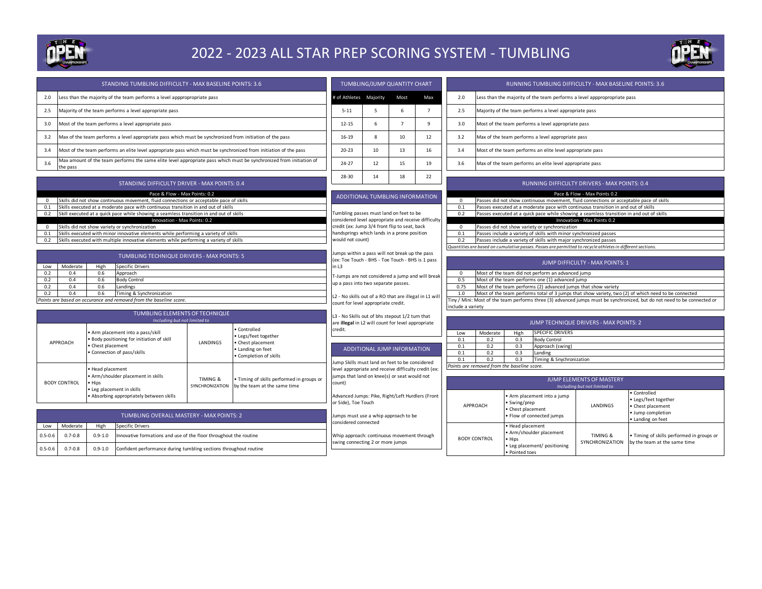

### 2022 - 2023 ALL STAR PREP SCORING SYSTEM - TUMBLING



|                                                                                                                 |                                                                                                                        | STANDING TUMBLING DIFFICULTY - MAX BASELINE POINTS: 3.6                                                                  |                                                        |                                       | TUMBLING/JUMP QUANTITY CHART                                                                          |                                 |              |                                        | RUNNING TUMBLING DIFFICULTY - MAX BASELINE POINTS: 3.6                                                                   |                                                                                                                     |                                                                                          |                                 |                                         |  |
|-----------------------------------------------------------------------------------------------------------------|------------------------------------------------------------------------------------------------------------------------|--------------------------------------------------------------------------------------------------------------------------|--------------------------------------------------------|---------------------------------------|-------------------------------------------------------------------------------------------------------|---------------------------------|--------------|----------------------------------------|--------------------------------------------------------------------------------------------------------------------------|---------------------------------------------------------------------------------------------------------------------|------------------------------------------------------------------------------------------|---------------------------------|-----------------------------------------|--|
| 2.0                                                                                                             |                                                                                                                        | ess than the majority of the team performs a level apppropropriate pass                                                  |                                                        |                                       | # of Athletes Majority                                                                                |                                 | Most         | Max                                    | 2.0                                                                                                                      |                                                                                                                     | Less than the majority of the team performs a level apppropropriate pass                 |                                 |                                         |  |
| 2.5                                                                                                             |                                                                                                                        | Majority of the team performs a level appropriate pass                                                                   |                                                        |                                       | $5 - 11$                                                                                              | 5                               | $\mathbf{f}$ | $\overline{7}$                         | 2.5                                                                                                                      |                                                                                                                     | Majority of the team performs a level appropriate pass                                   |                                 |                                         |  |
| Most of the team performs a level appropriate pass<br>3.0                                                       |                                                                                                                        |                                                                                                                          | $12 - 15$                                              | 6                                     | $\overline{7}$                                                                                        | 9                               | 3.0          |                                        | Most of the team performs a level appropriate pass                                                                       |                                                                                                                     |                                                                                          |                                 |                                         |  |
| 3.2<br>Max of the team performs a level appropriate pass which must be synchronized from initiation of the pass |                                                                                                                        |                                                                                                                          | 16-19                                                  | 8                                     | 10                                                                                                    | 12                              | 3.2          |                                        | Max of the team performs a level appropriate pass                                                                        |                                                                                                                     |                                                                                          |                                 |                                         |  |
| 3.4                                                                                                             | Most of the team performs an elite level appropriate pass which must be synchronized from initiation of the pass       |                                                                                                                          |                                                        |                                       | $20 - 23$                                                                                             | 10                              | 13           | 16                                     | 3.4                                                                                                                      |                                                                                                                     | Most of the team performs an elite level appropriate pass                                |                                 |                                         |  |
| 3.6                                                                                                             | the pass                                                                                                               | Max amount of the team performs the same elite level appropriate pass which must be synchronized from initiation of      |                                                        |                                       | 24-27                                                                                                 | 12                              | 15           | 19                                     | 3.6                                                                                                                      |                                                                                                                     | Max of the team performs an elite level appropriate pass                                 |                                 |                                         |  |
|                                                                                                                 |                                                                                                                        | STANDING DIFFICULTY DRIVER - MAX POINTS: 0.4                                                                             |                                                        |                                       | 28-30                                                                                                 | 14                              | 18           | 22                                     |                                                                                                                          |                                                                                                                     | RUNNING DIFFICULTY DRIVERS - MAX POINTS: 0.4                                             |                                 |                                         |  |
| $^{\circ}$                                                                                                      |                                                                                                                        | Pace & Flow - Max Points: 0.2<br>Skills did not show continuous movement, fluid connections or acceptable pace of skills |                                                        |                                       |                                                                                                       | ADDITIONAL TUMBLING INFORMATION |              |                                        | $\mathbf{0}$                                                                                                             |                                                                                                                     | Passes did not show continuous movement, fluid connections or acceptable pace of skills  | Pace & Flow - Max Points 0.2    |                                         |  |
| 0.1                                                                                                             |                                                                                                                        | Skills executed at a moderate pace with continuous transition in and out of skills                                       |                                                        |                                       |                                                                                                       |                                 |              |                                        | 0.1                                                                                                                      |                                                                                                                     | Passes executed at a moderate pace with continuous transition in and out of skills       |                                 |                                         |  |
| 0.2                                                                                                             |                                                                                                                        | Skill executed at a quick pace while showing a seamless transition in and out of skills                                  |                                                        |                                       | fumbling passes must land on feet to be                                                               |                                 |              |                                        | 0.2                                                                                                                      |                                                                                                                     | Passes executed at a quick pace while showing a seamless transition in and out of skills |                                 |                                         |  |
| $^{\circ}$                                                                                                      |                                                                                                                        | Innovation - Max Points: 0.2<br>Skills did not show variety or synchronization                                           |                                                        |                                       | considered level appropriate and receive difficulty<br>credit (ex: Jump 3/4 front flip to seat, back  |                                 |              |                                        | $\overline{0}$                                                                                                           |                                                                                                                     |                                                                                          | Innovation - Max Points 0.2     |                                         |  |
| 0.1                                                                                                             |                                                                                                                        | Skills executed with minor innovative elements while performing a variety of skills                                      |                                                        |                                       | handsprings which lands in a prone position                                                           |                                 |              |                                        | 0.1                                                                                                                      | Passes did not show variety or synchronization<br>Passes include a variety of skills with minor synchronized passes |                                                                                          |                                 |                                         |  |
| 0.2                                                                                                             |                                                                                                                        | Skills executed with multiple innovative elements while performing a variety of skills                                   |                                                        |                                       | would not count)                                                                                      |                                 |              |                                        | 0.2                                                                                                                      | Passes include a variety of skills with major synchronized passes                                                   |                                                                                          |                                 |                                         |  |
|                                                                                                                 |                                                                                                                        |                                                                                                                          |                                                        |                                       |                                                                                                       |                                 |              |                                        | Quantities are based on cumulative passes. Passes are permitted to recycle athletes in different sections.               |                                                                                                                     |                                                                                          |                                 |                                         |  |
|                                                                                                                 |                                                                                                                        | TUMBLING TECHNIQUE DRIVERS - MAX POINTS: 5                                                                               |                                                        |                                       | lumps within a pass will not break up the pass                                                        |                                 |              |                                        |                                                                                                                          |                                                                                                                     |                                                                                          |                                 |                                         |  |
|                                                                                                                 | Moderate                                                                                                               | High<br><b>Specific Drivers</b>                                                                                          |                                                        |                                       | (ex: Toe Touch - BHS - Toe Touch - BHS is 1 pass<br>n L3                                              |                                 |              |                                        |                                                                                                                          |                                                                                                                     |                                                                                          | JUMP DIFFICULTY - MAX POINTS: 1 |                                         |  |
| Low<br>0.2                                                                                                      | 0.4                                                                                                                    | 0.6<br>Approach                                                                                                          |                                                        |                                       |                                                                                                       |                                 |              |                                        | Most of the team did not perform an advanced jump<br>$\mathbf{0}$                                                        |                                                                                                                     |                                                                                          |                                 |                                         |  |
| 0.2                                                                                                             | 0.4                                                                                                                    | 0.6<br><b>Body Control</b>                                                                                               |                                                        |                                       | T-Jumps are not considered a jump and will break                                                      |                                 |              |                                        | 0.5<br>Most of the team performs one (1) advanced jump                                                                   |                                                                                                                     |                                                                                          |                                 |                                         |  |
| 0.2                                                                                                             | 0.4                                                                                                                    | 0.6<br>Landings                                                                                                          |                                                        |                                       | up a pass into two separate passes.                                                                   |                                 |              |                                        | 0.75<br>Most of the team performs (2) advanced jumps that show variety                                                   |                                                                                                                     |                                                                                          |                                 |                                         |  |
| 0.2                                                                                                             | 0.4                                                                                                                    | Timing & Synchronization<br>0.6                                                                                          |                                                        |                                       | L2 - No skills out of a RO that are illegal in L1 will                                                |                                 |              |                                        | 1.0<br>Most of the team performs total of 3 jumps that show variety, two (2) of which need to be connected               |                                                                                                                     |                                                                                          |                                 |                                         |  |
|                                                                                                                 |                                                                                                                        | Points are based on occurance and removed from the baseline score.                                                       |                                                        |                                       | count for level appropriate credit.                                                                   |                                 |              |                                        | Tiny / Mini: Most of the team performs three (3) advanced jumps must be synchronized, but do not need to be connected or |                                                                                                                     |                                                                                          |                                 |                                         |  |
|                                                                                                                 |                                                                                                                        | <b>TUMBLING ELEMENTS OF TECHNIQUE</b>                                                                                    |                                                        |                                       |                                                                                                       |                                 |              |                                        | include a variety                                                                                                        |                                                                                                                     |                                                                                          |                                 |                                         |  |
|                                                                                                                 |                                                                                                                        | Including but not limited to                                                                                             |                                                        |                                       | L3 - No Skills out of bhs stepout 1/2 turn that<br>are illegal in L2 will count for level appropriate |                                 |              | JUMP TECHNIQUE DRIVERS - MAX POINTS: 2 |                                                                                                                          |                                                                                                                     |                                                                                          |                                 |                                         |  |
|                                                                                                                 |                                                                                                                        | Arm placement into a pass/skill                                                                                          |                                                        | Controlled                            | credit.                                                                                               |                                 |              |                                        | Low                                                                                                                      | Moderate                                                                                                            | <b>SPECIFIC DRIVERS</b><br>High                                                          |                                 |                                         |  |
|                                                                                                                 | APPROACH                                                                                                               | Body positioning for initiation of skill                                                                                 | LANDINGS                                               | Legs/feet together<br>Chest placement |                                                                                                       |                                 |              |                                        | 0.1                                                                                                                      | 0.2                                                                                                                 | 0.3<br><b>Body Control</b>                                                               |                                 |                                         |  |
|                                                                                                                 |                                                                                                                        | Chest placement                                                                                                          |                                                        | Landing on feet                       |                                                                                                       | ADDITIONAL JUMP INFORMATION     |              |                                        | 0.2<br>0.1<br>0.3<br>Approach (swing)                                                                                    |                                                                                                                     |                                                                                          |                                 |                                         |  |
|                                                                                                                 |                                                                                                                        | Connection of pass/skills                                                                                                |                                                        | Completion of skills                  |                                                                                                       |                                 |              |                                        | 0.1<br>0.1                                                                                                               | 0.2<br>0.2                                                                                                          | 0.3<br>Landing<br>0.3<br>Timing & Snychronization                                        |                                 |                                         |  |
|                                                                                                                 |                                                                                                                        |                                                                                                                          |                                                        |                                       | Jump Skills must land on feet to be considered                                                        |                                 |              |                                        |                                                                                                                          |                                                                                                                     | Points are removed from the baseline score.                                              |                                 |                                         |  |
|                                                                                                                 |                                                                                                                        | Head placement                                                                                                           |                                                        |                                       | level appropriate and receive difficulty credit (ex:                                                  |                                 |              |                                        |                                                                                                                          |                                                                                                                     |                                                                                          |                                 |                                         |  |
|                                                                                                                 | Arm/shoulder placement in skills<br>Timing of skills performed in groups or<br>TIMING &<br><b>BODY CONTROL</b><br>Hips |                                                                                                                          | jumps that land on knee(s) or seat would not<br>count) |                                       |                                                                                                       |                                 |              |                                        |                                                                                                                          | <b>JUMP ELEMENTS OF MASTERY</b>                                                                                     |                                                                                          |                                 |                                         |  |
|                                                                                                                 |                                                                                                                        | Leg placement in skills                                                                                                  | <b>SYNCHRONIZATION</b>                                 | by the team at the same time          |                                                                                                       |                                 |              |                                        |                                                                                                                          |                                                                                                                     |                                                                                          | Including but not limited to    |                                         |  |
| Absorbing appropriately between skills                                                                          |                                                                                                                        | Advanced Jumps: Pike, Right/Left Hurdlers (Front                                                                         |                                                        |                                       |                                                                                                       |                                 |              | Arm placement into a jump              |                                                                                                                          | Controlled<br>Legs/feet together                                                                                    |                                                                                          |                                 |                                         |  |
|                                                                                                                 |                                                                                                                        |                                                                                                                          | or Side), Toe Touch                                    |                                       |                                                                                                       |                                 |              | APPROACH                               | • Swing/prep                                                                                                             | LANDINGS                                                                                                            | Chest placement                                                                          |                                 |                                         |  |
| TUMBLING OVERALL MASTERY - MAX POINTS: 2                                                                        |                                                                                                                        |                                                                                                                          | Jumps must use a whip approach to be                   |                                       |                                                                                                       |                                 |              |                                        | • Chest placement<br>· Flow of connected jumps                                                                           |                                                                                                                     | Jump completion                                                                          |                                 |                                         |  |
|                                                                                                                 |                                                                                                                        |                                                                                                                          |                                                        |                                       | considered connected                                                                                  |                                 |              |                                        |                                                                                                                          |                                                                                                                     |                                                                                          |                                 | Landing on feet                         |  |
| Low                                                                                                             | Moderate                                                                                                               | High<br><b>Specific Drivers</b>                                                                                          |                                                        |                                       |                                                                                                       |                                 |              |                                        |                                                                                                                          |                                                                                                                     | Head placement                                                                           |                                 |                                         |  |
| $0.5 - 0.6$                                                                                                     | $0.7 - 0.8$                                                                                                            | $0.9 - 1.0$<br>Innovative formations and use of the floor throughout the routine                                         |                                                        |                                       | Whip approach: continuous movement through                                                            |                                 |              |                                        |                                                                                                                          | <b>BODY CONTROL</b>                                                                                                 | Arm/shoulder placement<br>· Hips                                                         | TIMING &                        | Timing of skills performed in groups or |  |
| $0.5 - 0.6$                                                                                                     | $0.7 - 0.8$                                                                                                            | $0.9 - 1.0$<br>Confident performance during tumbling sections throughout routine                                         |                                                        |                                       | swing connecting 2 or more jumps                                                                      |                                 |              |                                        | SYNCHRONIZATION<br>• Leg placement/ positioning<br>• Pointed toes                                                        |                                                                                                                     |                                                                                          | by the team at the same time    |                                         |  |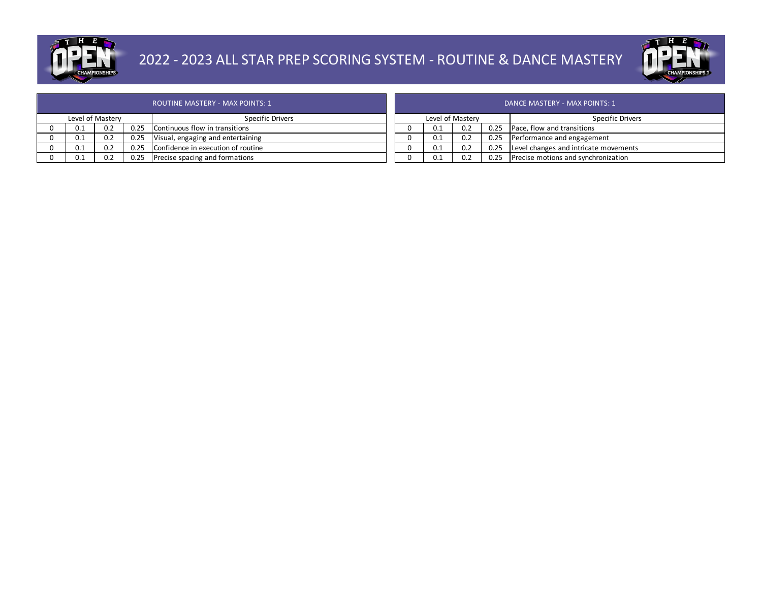

## 2022 - 2023 ALL STAR PREP SCORING SYSTEM - ROUTINE & DANCE MASTERY



|   |     |                  |      | ROUTINE MASTERY - MAX POINTS: 1    |     |                  |      |
|---|-----|------------------|------|------------------------------------|-----|------------------|------|
|   |     | Level of Mastery |      | Specific Drivers                   |     | Level of Mastery |      |
| υ | 0.1 | 0.2              | 0.25 | Continuous flow in transitions     | 0.1 | 0.2              | 0.25 |
| 0 | 0.1 | 0.2              | 0.25 | Visual, engaging and entertaining  | 0.1 | 0.2              | 0.25 |
| 0 | 0.1 | 0.2              | 0.25 | Confidence in execution of routine | 0.1 | 0.2              | 0.25 |
| 0 | 0.1 | 0.2              | 0.25 | Precise spacing and formations     | 0.1 | 0.2              | 0.25 |

|                  | DANCE MASTERY - MAX POINTS: 1 |     |      |                                       |  |  |  |  |
|------------------|-------------------------------|-----|------|---------------------------------------|--|--|--|--|
| Level of Mastery |                               |     |      | Specific Drivers                      |  |  |  |  |
|                  | 0.1                           | 0.2 | 0.25 | Pace, flow and transitions            |  |  |  |  |
|                  | 0.1                           | 0.2 | 0.25 | Performance and engagement            |  |  |  |  |
|                  | 0.1                           | 0.2 | 0.25 | Level changes and intricate movements |  |  |  |  |
|                  | 0.1                           | 0.2 | 0.25 | Precise motions and synchronization   |  |  |  |  |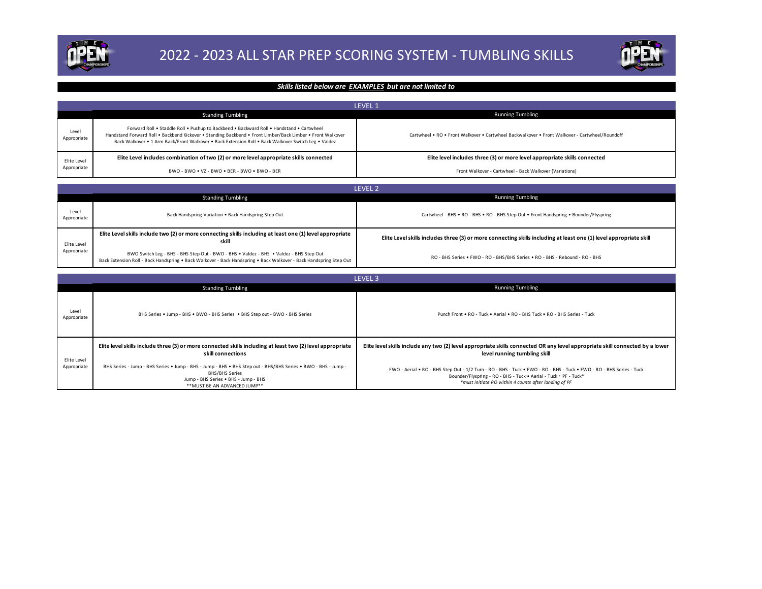



### *Skills listed below are EXAMPLES but are not limited to*

|                      |                                                                                                                                                                                                                                                                                                               | <b>LEVEL 1</b>                                                                                 |
|----------------------|---------------------------------------------------------------------------------------------------------------------------------------------------------------------------------------------------------------------------------------------------------------------------------------------------------------|------------------------------------------------------------------------------------------------|
|                      | <b>Standing Tumbling</b>                                                                                                                                                                                                                                                                                      | <b>Running Tumbling</b>                                                                        |
| Level<br>Appropriate | Forward Roll . Staddle Roll . Pushup to Backbend . Backward Roll . Handstand . Cartwheel<br>Handstand Forward Roll . Backbend Kickover . Standing Backbend . Front Limber/Back Limber . Front Walkover<br>Back Walkover • 1 Arm Back/Front Walkover • Back Extension Roll • Back Walkover Switch Leg • Valdez | Cartwheel • RO • Front Walkover • Cartwheel Backwalkover • Front Walkover - Cartwheel/Roundoff |
| Elite Level          | Elite Level includes combination of two (2) or more level appropriate skills connected                                                                                                                                                                                                                        | Elite level includes three (3) or more level appropriate skills connected                      |
| Appropriate          | BWO - BWO • VZ - BWO • BER - BWO • BWO - BER                                                                                                                                                                                                                                                                  | Front Walkover - Cartwheel - Back Walkover (Variations)                                        |

#### LEVEL 2

|                      |                                                                                                                                                                                                              | LEVEL 2                                                                                                            |
|----------------------|--------------------------------------------------------------------------------------------------------------------------------------------------------------------------------------------------------------|--------------------------------------------------------------------------------------------------------------------|
|                      | <b>Standing Tumbling</b>                                                                                                                                                                                     | <b>Running Tumbling</b>                                                                                            |
| Level<br>Appropriate | Back Handspring Variation . Back Handspring Step Out                                                                                                                                                         | Cartwheel - BHS . RO - BHS . RO - BHS Step Out . Front Handspring . Bounder/Flyspring                              |
| Elite Level          | Elite Level skills include two (2) or more connecting skills including at least one (1) level appropriate<br>skill                                                                                           | Elite Level skills includes three (3) or more connecting skills including at least one (1) level appropriate skill |
| Appropriate          | BWO Switch Leg - BHS - BHS Step Out - BWO - BHS . Valdez - BHS . Valdez - BHS Step Out<br>Back Extension Roll - Back Handspring . Back Walkover - Back Handspring . Back Walkover - Back Handspring Step Out | RO - BHS Series . FWO - RO - BHS/BHS Series . RO - BHS - Rebound - RO - BHS                                        |

|                      |                                                                                                                                                                                                                | LEVEL <sub>3</sub>                                                                                                                                                                                                                                |
|----------------------|----------------------------------------------------------------------------------------------------------------------------------------------------------------------------------------------------------------|---------------------------------------------------------------------------------------------------------------------------------------------------------------------------------------------------------------------------------------------------|
|                      | <b>Standing Tumbling</b>                                                                                                                                                                                       | <b>Running Tumbling</b>                                                                                                                                                                                                                           |
| Level<br>Appropriate | BHS Series . Jump - BHS . BWO - BHS Series . BHS Step out - BWO - BHS Series                                                                                                                                   | Punch Front . RO - Tuck . Aerial . RO - BHS Tuck . RO - BHS Series - Tuck                                                                                                                                                                         |
| Elite Level          | Elite level skills include three (3) or more connected skills including at least two (2) level appropriate<br>skill connections                                                                                | Elite level skills include any two (2) level appropriate skills connected OR any level appropriate skill connected by a lower<br>level running tumbling skill                                                                                     |
| Appropriate          | BHS Series - Jump - BHS Series . Jump - BHS - Jump - BHS . BHS Step out - BHS/BHS Series . BWO - BHS - Jump -<br><b>BHS/BHS Series</b><br>Jump - BHS Series . BHS - Jump - BHS<br>**MUST BE AN ADVANCED JUMP** | FWO - Aerial . RO - BHS Step Out - 1/2 Turn - RO - BHS - Tuck . FWO - RO - BHS - Tuck . FWO - RO - BHS Series - Tuck<br>Bounder/Flyspring - RO - BHS - Tuck . Aerial - Tuck . PF - Tuck*<br>*must initiate RO within 4 counts after landing of PF |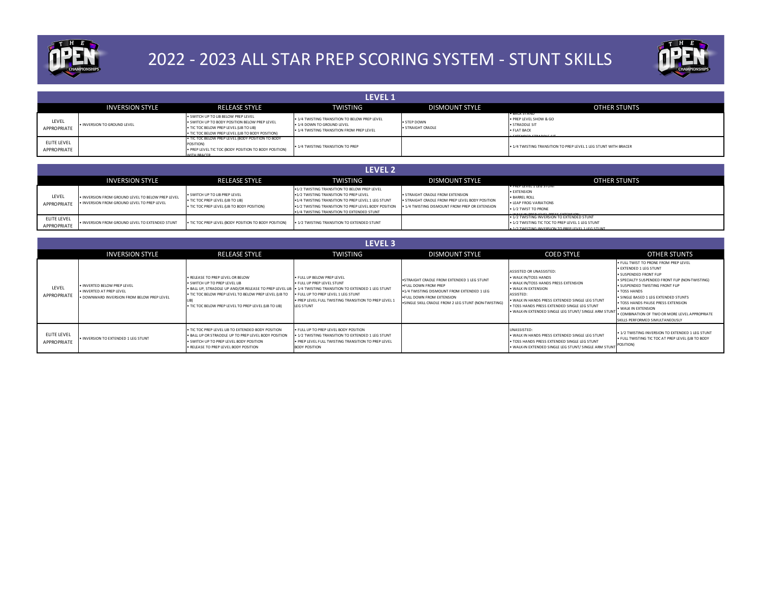

# 2022 - 2023 ALL STAR PREP SCORING SYSTEM - STUNT SKILLS



|                             | <b>LEVEL 1</b>              |                                                                                                                                                                                      |                                                                                                                          |                                  |                                                                                                               |  |  |  |  |
|-----------------------------|-----------------------------|--------------------------------------------------------------------------------------------------------------------------------------------------------------------------------------|--------------------------------------------------------------------------------------------------------------------------|----------------------------------|---------------------------------------------------------------------------------------------------------------|--|--|--|--|
|                             | <b>INVERSION STYLE</b>      | <b>RELEASE STYLE</b>                                                                                                                                                                 | <b>TWISTING</b>                                                                                                          | <b>DISMOUNT STYLE</b>            | <b>OTHER STUNTS</b>                                                                                           |  |  |  |  |
| LEVEL<br><b>APPROPRIATE</b> | . INVERSION TO GROUND LEVEL | . SWITCH UP TO LIB BELOW PREP LEVEL<br>. SWITCH UP TO BODY POSITION BELOW PREP LEVEL<br>. TIC TOC BELOW PREP LEVEL (LIB TO LIB)<br>. TIC TOC BELOW PREP LEVEL (LIB TO BODY POSITION) | . 1/4 TWISTING TRANSITION TO BELOW PREP LEVEL<br>. 1/4 DOWN TO GROUND LEVEL<br>. 1/4 TWISTING TRANSITION FROM PREP LEVEL | · STEP DOWN<br>· STRAIGHT CRADLE | <b>CHLA STAND</b><br>. PREP LEVEL SHOW & GO<br>· STRADDLE SIT<br>· FLAT BACK<br><b>CUTTLINED CTRANDLE CIT</b> |  |  |  |  |
| ELITE LEVEL<br>APPROPRIATE  |                             | THE TOC BELOW PREP LEVEL (BODY POSITION TO BODY<br>POSITION)<br>. PREP LEVEL TIC TOC (BODY POSITION TO BODY POSITION)<br>MITH BRACER                                                 | . 1/4 TWISTING TRANSITION TO PREP                                                                                        |                                  | . 1/4 TWISTING TRANSITION TO PREP LEVEL 1 LEG STUNT WITH BRACER                                               |  |  |  |  |

|                            | <b>LEVEL 2</b>                                                                                   |                                                                                                                   |                                                                                                                                                                                                                                                    |                                                                                                                                       |                                                                                                                                                             |  |  |  |  |  |
|----------------------------|--------------------------------------------------------------------------------------------------|-------------------------------------------------------------------------------------------------------------------|----------------------------------------------------------------------------------------------------------------------------------------------------------------------------------------------------------------------------------------------------|---------------------------------------------------------------------------------------------------------------------------------------|-------------------------------------------------------------------------------------------------------------------------------------------------------------|--|--|--|--|--|
|                            | <b>INVERSION STYLE</b>                                                                           | <b>RELEASE STYLE</b>                                                                                              | TWISTING                                                                                                                                                                                                                                           | <b>DISMOUNT STYLE</b>                                                                                                                 | <b>OTHER STUNTS</b>                                                                                                                                         |  |  |  |  |  |
| LEVEL<br>APPROPRIATE       | . INVERSION FROM GROUND LEVEL TO BELOW PREP LEVEL<br>. INVERSION FROM GROUND LEVEL TO PREP LEVEL | . SWITCH UP TO LIB PREP LEVEL<br>. TIC TOC PREP LEVEL (LIB TO LIB)<br>. TIC TOC PREP LEVEL (LIB TO BODY POSITION) | .1/2 TWISTING TRANSITION TO BELOW PREP LEVEL<br>.1/2 TWISTING TRANSITION TO PREP LEVEL<br>.1/4 TWISTING TRANSITION TO PREP LEVEL 1 LEG STUNT<br>.1/2 TWISTING TRANSITION TO PREP LEVEL BODY POSITION<br>.1/4 TWISTING TRANSITION TO EXTENDED STUNT | . STRAIGHT CRADLE FROM EXTENSION<br>. STRAIGHT CRADLE FROM PREP LEVEL BODY POSITION<br>. 1/4 TWISTING DISMOUNT FROM PREP OR EXTENSION | <b>PROPERTED LOST UNIT</b><br>· EXTENSION<br>· BARREL ROLL<br><b>• LEAP FROG VARIATIONS</b><br>. 1/2 TWIST TO PRONE<br>. WALK IN DRED LEVEL DRECE EVTENCION |  |  |  |  |  |
| ELITE LEVEL<br>APPROPRIATE | . INVERSION FROM GROUND LEVEL TO EXTENDED STUNT                                                  | . TIC TOC PREP LEVEL (BODY POSITION TO BODY POSITION)                                                             | . 1/2 TWISTING TRANSITION TO EXTENDED STUNT                                                                                                                                                                                                        |                                                                                                                                       | . 1/2 TWISTING INVERSION TO EXTENDED STUNT<br>. 1/2 TWISTING TIC TOC TO PREP LEVEL 1 LEG STUNT<br>. 1/2 TWISTING INVERSION TO PREP LEVEL 1 LEG STUNT        |  |  |  |  |  |

|                            | LEVEL <sub>3</sub>                                                                                    |                                                                                                                                                                                                                                                                                                  |                                                                                                                                                                              |                                                                                                                                                                                                                |                                                                                                                                                                                                                                                                                         |                                                                                                                                                                                                                                                                                                                                                                                         |  |  |  |  |
|----------------------------|-------------------------------------------------------------------------------------------------------|--------------------------------------------------------------------------------------------------------------------------------------------------------------------------------------------------------------------------------------------------------------------------------------------------|------------------------------------------------------------------------------------------------------------------------------------------------------------------------------|----------------------------------------------------------------------------------------------------------------------------------------------------------------------------------------------------------------|-----------------------------------------------------------------------------------------------------------------------------------------------------------------------------------------------------------------------------------------------------------------------------------------|-----------------------------------------------------------------------------------------------------------------------------------------------------------------------------------------------------------------------------------------------------------------------------------------------------------------------------------------------------------------------------------------|--|--|--|--|
|                            | <b>INVERSION STYLE</b>                                                                                | <b>RELEASE STYLE</b>                                                                                                                                                                                                                                                                             | TWISTING                                                                                                                                                                     | <b>DISMOUNT STYLE</b>                                                                                                                                                                                          | <b>COED STYLE</b>                                                                                                                                                                                                                                                                       | <b>OTHER STUNTS</b>                                                                                                                                                                                                                                                                                                                                                                     |  |  |  |  |
| LEVEL<br>APPROPRIATE       | . INVERTED BELOW PREP LEVEL<br>. INVERTED AT PREP LEVEL<br>. DOWNWARD INVERSION FROM BELOW PREP LEVEL | . RELEASE TO PREP LEVEL OR BELOW<br>. SWITCH UP TO PREP LEVEL UB<br>. BALL UP, STRADDLE UP AND/OR RELEASE TO PREP LEVEL LIB . 1/4 TWISTING TRANSITION TO EXTENDED 1 LEG STUNT<br>. TIC TOC BELOW PREP LEVEL TO BELOW PREP LEVEL (LIB TO<br>. TIC TOC BELOW PREP LEVEL TO PREP LEVEL (LIB TO LIB) | . FULL UP BELOW PREP LEVEL<br>. FULL UP PREP LEVEL STUNT<br>. FULL UP TO PREP LEVEL 1 LEG STUNT<br>. PREP LEVEL FULL TWISTING TRANSITION TO PREP LEVEL 1<br><b>LEG STUNT</b> | . STRAIGHT CRADLE FROM EXTENDED 1 LEG STUNT<br><b>.FULL DOWN FROM PREP</b><br>.1/4 TWISTING DISMOUNT FROM EXTENDED 1 LEG<br>. FULL DOWN FROM EXTENSION<br>.SINGLE SKILL CRADLE FROM 2 LEG STUNT (NON-TWISTING) | ASSISTED OR UNASSISTED:<br>. WALK IN/TOSS HANDS<br>. WALK IN/TOSS HANDS PRESS EXTENSION<br>. WALK IN EXTENSION<br>ASSISTED:<br>. WALK IN HANDS PRESS EXTENDED SINGLE LEG STUNT<br>. TOSS HANDS PRESS EXTENDED SINGLE LEG STUNT<br>. WALK-IN EXTENDED SINGLE LEG STUNT/ SINGLE ARM STUNT | . FULL TWIST TO PRONE FROM PREP LEVEL<br>· EXTENDED 1 LEG STUNT<br>· SUSPENDED FRONT FUP<br>· SPECIALTY SUSPENDED FRONT FUP (NON-TWISTING)<br>. SUSPENDED TWISTING FRONT FLIP<br>· TOSS HANDS<br>. SINGLE BASED 1 LEG EXTENDED STUNTS<br>. TOSS HANDS PAUSE PRESS EXTENSION<br>. WALK IN EXTENSION<br>. COMBINATION OF TWO OR MORE LEVEL APPROPRIATE<br>SKILLS PERFORMED SIMULTANEOUSLY |  |  |  |  |
| ELITE LEVEL<br>APPROPRIATE | . INVERSION TO EXTENDED 1 LEG STUNT                                                                   | . TIC TOC PREP LEVEL UB TO EXTENDED BODY POSITION<br>. BALL UP OR STRADDLE UP TO PREP LEVEL BODY POSITION<br>. SWITCH UP TO PREP LEVEL BODY POSITION<br>. RELEASE TO PREP LEVEL BODY POSITION                                                                                                    | . FULL UP TO PREP LEVEL BODY POSITION<br>. 1/2 TWISTING TRANSITION TO EXTENDED 1 LEG STUNT<br>. PREP LEVEL FULL TWISTING TRANSITION TO PREP LEVEL<br><b>BODY POSITION</b>    |                                                                                                                                                                                                                | UNASSISTED:<br>. WALK IN HANDS PRESS EXTENDED SINGLE LEG STUNT<br>. TOSS HANDS PRESS EXTENDED SINGLE LEG STUNT<br>. WALK-IN EXTENDED SINGLE LEG STUNT/ SINGLE ARM STUNT                                                                                                                 | . 1/2 TWISTING INVERSION TO EXTENDED 1 LEG STUNT<br>. FULL TWISTING TIC TOC AT PREP LEVEL (UB TO BODY<br>POSITION)                                                                                                                                                                                                                                                                      |  |  |  |  |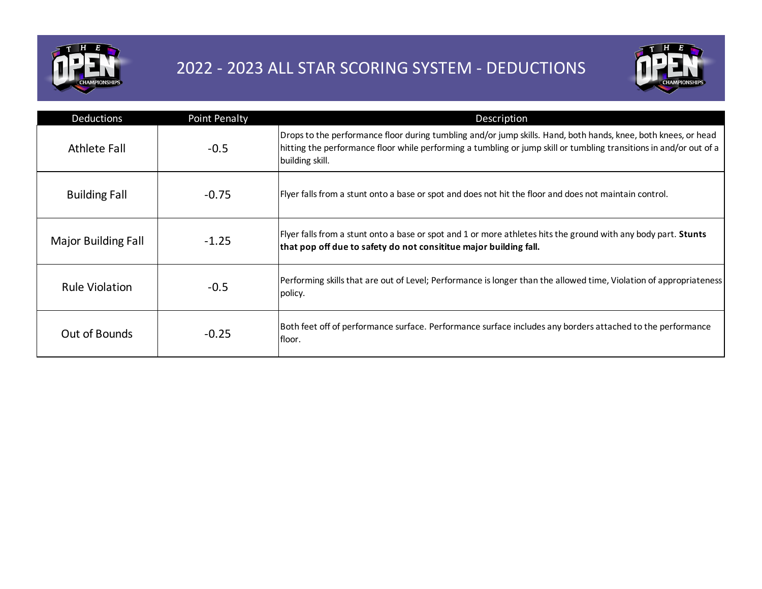

## 2022 - 2023 ALL STAR SCORING SYSTEM - DEDUCTIONS



| <b>Deductions</b>          | <b>Point Penalty</b> | Description                                                                                                                                                                                                                                             |
|----------------------------|----------------------|---------------------------------------------------------------------------------------------------------------------------------------------------------------------------------------------------------------------------------------------------------|
| Athlete Fall               | $-0.5$               | Drops to the performance floor during tumbling and/or jump skills. Hand, both hands, knee, both knees, or head<br>hitting the performance floor while performing a tumbling or jump skill or tumbling transitions in and/or out of a<br>building skill. |
| <b>Building Fall</b>       | $-0.75$              | Flyer falls from a stunt onto a base or spot and does not hit the floor and does not maintain control.                                                                                                                                                  |
| <b>Major Building Fall</b> | $-1.25$              | Flyer falls from a stunt onto a base or spot and 1 or more athletes hits the ground with any body part. <b>Stunts</b><br>that pop off due to safety do not consititue major building fall.                                                              |
| <b>Rule Violation</b>      | $-0.5$               | Performing skills that are out of Level; Performance is longer than the allowed time, Violation of appropriateness<br>policy.                                                                                                                           |
| Out of Bounds              | $-0.25$              | Both feet off of performance surface. Performance surface includes any borders attached to the performance<br>lfloor.                                                                                                                                   |